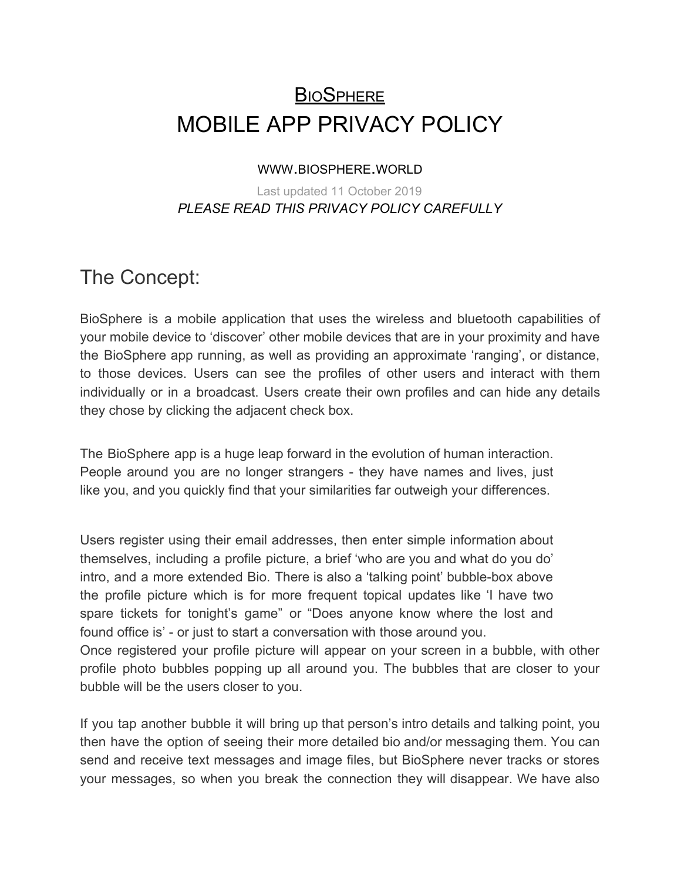# **BIOSPHERE** MOBILE APP PRIVACY POLICY

#### WWW.BIOSPHERE.WORLD

#### Last updated 11 October 2019 *PLEASE READ THIS PRIVACY POLICY CAREFULLY*

#### The Concept:

BioSphere is a mobile application that uses the wireless and bluetooth capabilities of your mobile device to 'discover' other mobile devices that are in your proximity and have the BioSphere app running, as well as providing an approximate 'ranging', or distance, to those devices. Users can see the profiles of other users and interact with them individually or in a broadcast. Users create their own profiles and can hide any details they chose by clicking the adjacent check box.

The BioSphere app is a huge leap forward in the evolution of human interaction. People around you are no longer strangers - they have names and lives, just like you, and you quickly find that your similarities far outweigh your differences.

Users register using their email addresses, then enter simple information about themselves, including a profile picture, a brief 'who are you and what do you do' intro, and a more extended Bio. There is also a 'talking point' bubble-box above the profile picture which is for more frequent topical updates like 'I have two spare tickets for tonight's game" or "Does anyone know where the lost and found office is' - or just to start a conversation with those around you.

Once registered your profile picture will appear on your screen in a bubble, with other profile photo bubbles popping up all around you. The bubbles that are closer to your bubble will be the users closer to you.

If you tap another bubble it will bring up that person's intro details and talking point, you then have the option of seeing their more detailed bio and/or messaging them. You can send and receive text messages and image files, but BioSphere never tracks or stores your messages, so when you break the connection they will disappear. We have also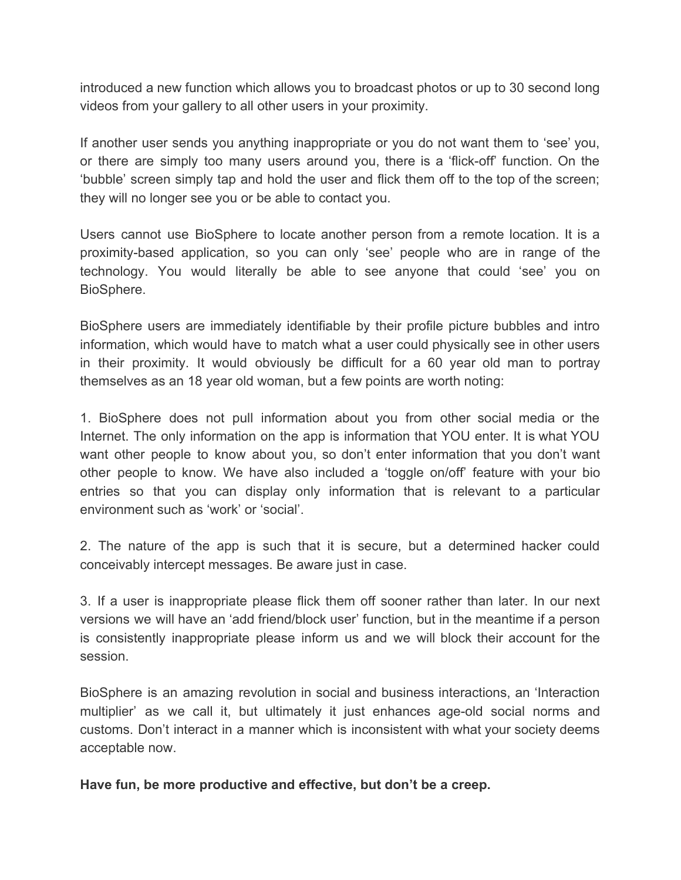introduced a new function which allows you to broadcast photos or up to 30 second long videos from your gallery to all other users in your proximity.

If another user sends you anything inappropriate or you do not want them to 'see' you, or there are simply too many users around you, there is a 'flick-off' function. On the 'bubble' screen simply tap and hold the user and flick them off to the top of the screen; they will no longer see you or be able to contact you.

Users cannot use BioSphere to locate another person from a remote location. It is a proximity-based application, so you can only 'see' people who are in range of the technology. You would literally be able to see anyone that could 'see' you on BioSphere.

BioSphere users are immediately identifiable by their profile picture bubbles and intro information, which would have to match what a user could physically see in other users in their proximity. It would obviously be difficult for a 60 year old man to portray themselves as an 18 year old woman, but a few points are worth noting:

1. BioSphere does not pull information about you from other social media or the Internet. The only information on the app is information that YOU enter. It is what YOU want other people to know about you, so don't enter information that you don't want other people to know. We have also included a 'toggle on/off' feature with your bio entries so that you can display only information that is relevant to a particular environment such as 'work' or 'social'.

2. The nature of the app is such that it is secure, but a determined hacker could conceivably intercept messages. Be aware just in case.

3. If a user is inappropriate please flick them off sooner rather than later. In our next versions we will have an 'add friend/block user' function, but in the meantime if a person is consistently inappropriate please inform us and we will block their account for the session.

BioSphere is an amazing revolution in social and business interactions, an 'Interaction multiplier' as we call it, but ultimately it just enhances age-old social norms and customs. Don't interact in a manner which is inconsistent with what your society deems acceptable now.

**Have fun, be more productive and effective, but don't be a creep.**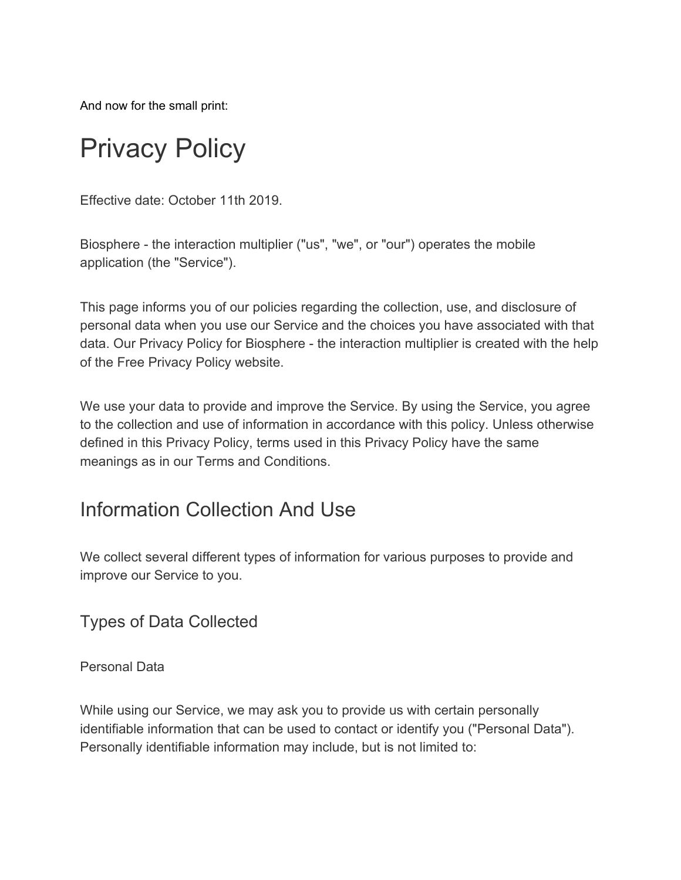And now for the small print:

# Privacy Policy

Effective date: October 11th 2019.

Biosphere - the interaction multiplier ("us", "we", or "our") operates the mobile application (the "Service").

This page informs you of our policies regarding the collection, use, and disclosure of personal data when you use our Service and the choices you have associated with that data. Our Privacy Policy for Biosphere - the interaction multiplier is created with the help of the [Free Privacy Policy website](https://www.freeprivacypolicy.com/).

We use your data to provide and improve the Service. By using the Service, you agree to the collection and use of information in accordance with this policy. Unless otherwise defined in this Privacy Policy, terms used in this Privacy Policy have the same meanings as in our Terms and Conditions.

### Information Collection And Use

We collect several different types of information for various purposes to provide and improve our Service to you.

Types of Data Collected

Personal Data

While using our Service, we may ask you to provide us with certain personally identifiable information that can be used to contact or identify you ("Personal Data"). Personally identifiable information may include, but is not limited to: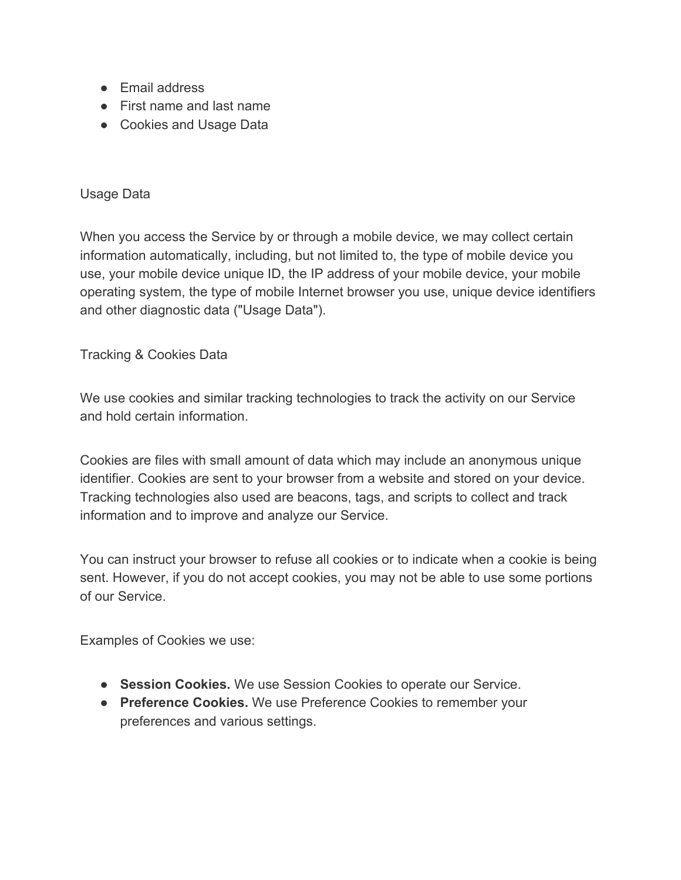- Email address
- First name and last name
- Cookies and Usage Data

#### Usage Data

When you access the Service by or through a mobile device, we may collect certain information automatically, including, but not limited to, the type of mobile device you use, your mobile device unique ID, the IP address of your mobile device, your mobile operating system, the type of mobile Internet browser you use, unique device identifiers and other diagnostic data ("Usage Data").

Tracking & Cookies Data

We use cookies and similar tracking technologies to track the activity on our Service and hold certain information.

Cookies are files with small amount of data which may include an anonymous unique identifier. Cookies are sent to your browser from a website and stored on your device. Tracking technologies also used are beacons, tags, and scripts to collect and track information and to improve and analyze our Service.

You can instruct your browser to refuse all cookies or to indicate when a cookie is being sent. However, if you do not accept cookies, you may not be able to use some portions of our Service.

Examples of Cookies we use:

- **Session Cookies.** We use Session Cookies to operate our Service.
- **Preference Cookies.** We use Preference Cookies to remember your preferences and various settings.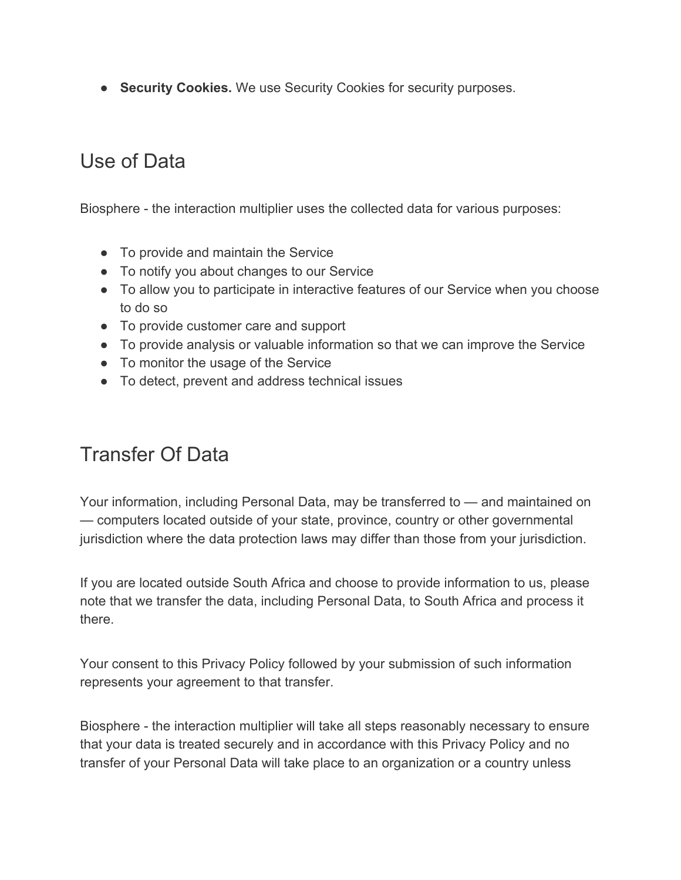● **Security Cookies.** We use Security Cookies for security purposes.

# Use of Data

Biosphere - the interaction multiplier uses the collected data for various purposes:

- To provide and maintain the Service
- To notify you about changes to our Service
- To allow you to participate in interactive features of our Service when you choose to do so
- To provide customer care and support
- To provide analysis or valuable information so that we can improve the Service
- To monitor the usage of the Service
- To detect, prevent and address technical issues

# Transfer Of Data

Your information, including Personal Data, may be transferred to — and maintained on — computers located outside of your state, province, country or other governmental jurisdiction where the data protection laws may differ than those from your jurisdiction.

If you are located outside South Africa and choose to provide information to us, please note that we transfer the data, including Personal Data, to South Africa and process it there.

Your consent to this Privacy Policy followed by your submission of such information represents your agreement to that transfer.

Biosphere - the interaction multiplier will take all steps reasonably necessary to ensure that your data is treated securely and in accordance with this Privacy Policy and no transfer of your Personal Data will take place to an organization or a country unless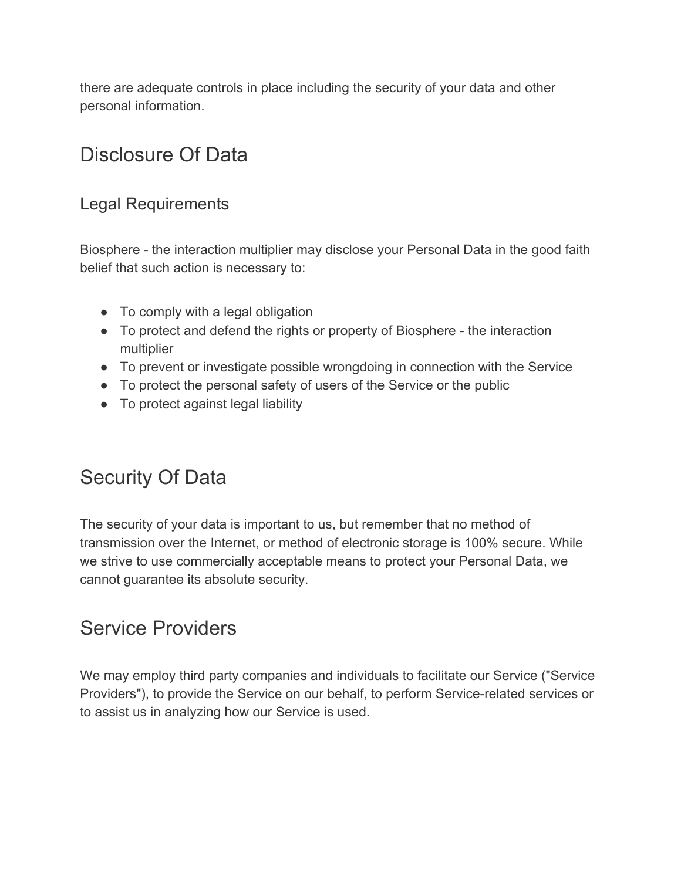there are adequate controls in place including the security of your data and other personal information.

# Disclosure Of Data

#### Legal Requirements

Biosphere - the interaction multiplier may disclose your Personal Data in the good faith belief that such action is necessary to:

- To comply with a legal obligation
- To protect and defend the rights or property of Biosphere the interaction multiplier
- To prevent or investigate possible wrongdoing in connection with the Service
- To protect the personal safety of users of the Service or the public
- To protect against legal liability

# Security Of Data

The security of your data is important to us, but remember that no method of transmission over the Internet, or method of electronic storage is 100% secure. While we strive to use commercially acceptable means to protect your Personal Data, we cannot guarantee its absolute security.

#### Service Providers

We may employ third party companies and individuals to facilitate our Service ("Service Providers"), to provide the Service on our behalf, to perform Service-related services or to assist us in analyzing how our Service is used.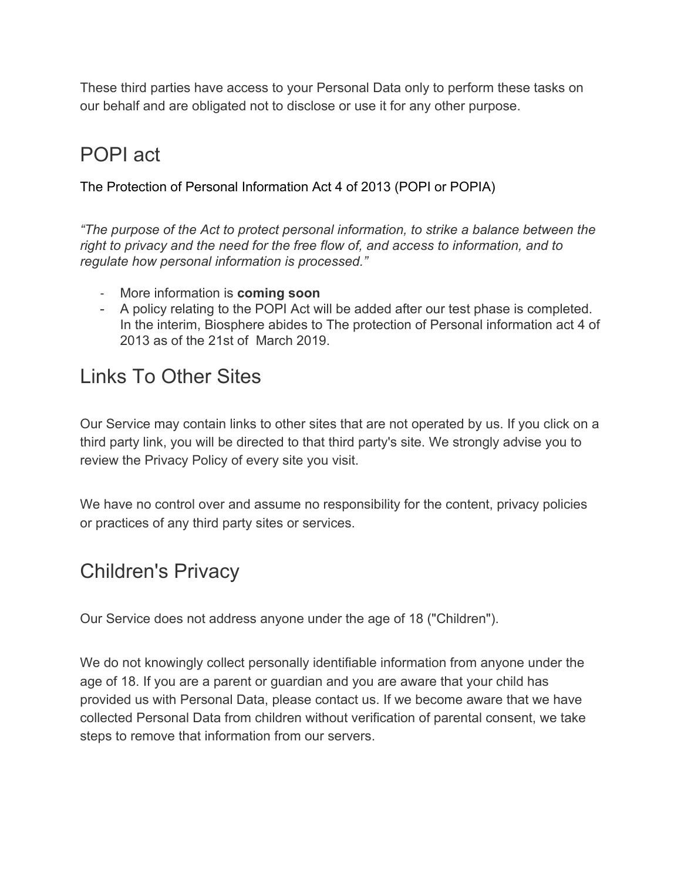These third parties have access to your Personal Data only to perform these tasks on our behalf and are obligated not to disclose or use it for any other purpose.

# POPI act

The Protection of Personal Information Act 4 of 2013 (POPI or POPIA)

*"The purpose of the Act to protect personal information, to strike a balance between the right to privacy and the need for the free flow of, and access to information, and to regulate how personal information is processed."*

- More information is **coming soon**
- A policy relating to the POPI Act will be added after our test phase is completed. In the interim, Biosphere abides to The protection of Personal information act 4 of 2013 as of the 21st of March 2019.

### Links To Other Sites

Our Service may contain links to other sites that are not operated by us. If you click on a third party link, you will be directed to that third party's site. We strongly advise you to review the Privacy Policy of every site you visit.

We have no control over and assume no responsibility for the content, privacy policies or practices of any third party sites or services.

### Children's Privacy

Our Service does not address anyone under the age of 18 ("Children").

We do not knowingly collect personally identifiable information from anyone under the age of 18. If you are a parent or guardian and you are aware that your child has provided us with Personal Data, please contact us. If we become aware that we have collected Personal Data from children without verification of parental consent, we take steps to remove that information from our servers.